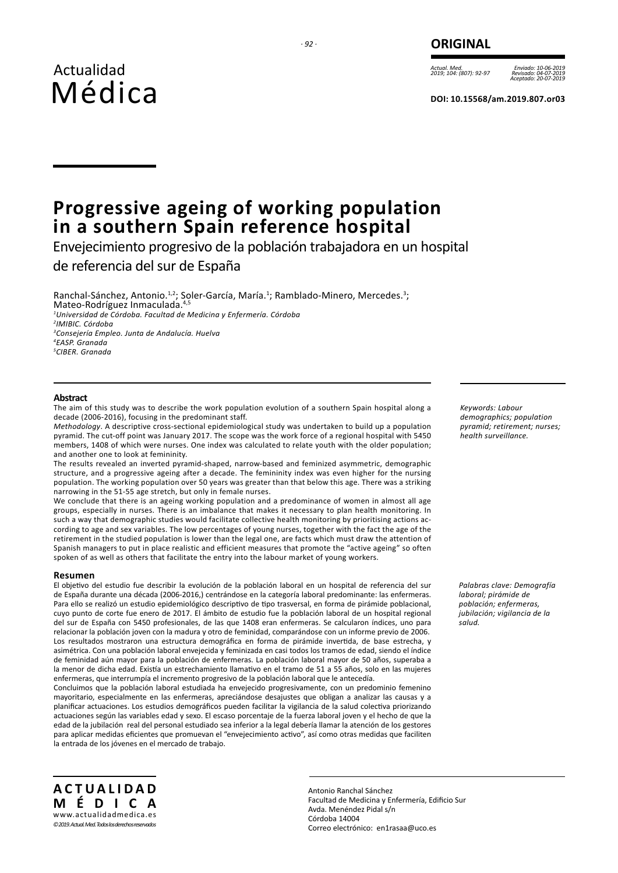# *· 92 ·* **ORIGINAL**

*Actual. Med. 2019; 104: (807): 92-97*

*Enviado: 10-06-2019 Revisado: 04-07-2019 Aceptado: 20-07-2019*

**DOI: 10.15568/am.2019.807.or03**

# **Progressive ageing of working population in a southern Spain reference hospital**

Envejecimiento progresivo de la población trabajadora en un hospital de referencia del sur de España

Ranchal-Sánchez, Antonio.<sup>1,2</sup>; Soler-García, María.<sup>1</sup>; Ramblado-Minero, Mercedes.<sup>3</sup>; Mateo-Rodríguez Inmaculada.<sup>4,5</sup> *Universidad de Córdoba. Facultad de Medicina y Enfermería. Córdoba IMIBIC. Córdoba Consejería Empleo. Junta de Andalucía. Huelva EASP. Granada CIBER. Granada*

# **Abstract**

The aim of this study was to describe the work population evolution of a southern Spain hospital along a decade (2006-2016), focusing in the predominant staff.

*Methodology*. A descriptive cross-sectional epidemiological study was undertaken to build up a population pyramid. The cut-off point was January 2017. The scope was the work force of a regional hospital with 5450 members, 1408 of which were nurses. One index was calculated to relate youth with the older population; and another one to look at femininity.

The results revealed an inverted pyramid-shaped, narrow-based and feminized asymmetric, demographic structure, and a progressive ageing after a decade. The femininity index was even higher for the nursing population. The working population over 50 years was greater than that below this age. There was a striking narrowing in the 51-55 age stretch, but only in female nurses.

We conclude that there is an ageing working population and a predominance of women in almost all age groups, especially in nurses. There is an imbalance that makes it necessary to plan health monitoring. In such a way that demographic studies would facilitate collective health monitoring by prioritising actions according to age and sex variables. The low percentages of young nurses, together with the fact the age of the retirement in the studied population is lower than the legal one, are facts which must draw the attention of Spanish managers to put in place realistic and efficient measures that promote the "active ageing" so often spoken of as well as others that facilitate the entry into the labour market of young workers.

#### **Resumen**

El objetivo del estudio fue describir la evolución de la población laboral en un hospital de referencia del sur de España durante una década (2006-2016,) centrándose en la categoría laboral predominante: las enfermeras. Para ello se realizó un estudio epidemiológico descriptivo de tipo trasversal, en forma de pirámide poblacional, cuyo punto de corte fue enero de 2017. El ámbito de estudio fue la población laboral de un hospital regional del sur de España con 5450 profesionales, de las que 1408 eran enfermeras. Se calcularon índices, uno para relacionar la población joven con la madura y otro de feminidad, comparándose con un informe previo de 2006. Los resultados mostraron una estructura demográfica en forma de pirámide invertida, de base estrecha, y asimétrica. Con una población laboral envejecida y feminizada en casi todos los tramos de edad, siendo el índice de feminidad aún mayor para la población de enfermeras. La población laboral mayor de 50 años, superaba a la menor de dicha edad. Existía un estrechamiento llamativo en el tramo de 51 a 55 años, solo en las mujeres enfermeras, que interrumpía el incremento progresivo de la población laboral que le antecedía.

Concluimos que la población laboral estudiada ha envejecido progresivamente, con un predominio femenino mayoritario, especialmente en las enfermeras, apreciándose desajustes que obligan a analizar las causas y a planificar actuaciones. Los estudios demográficos pueden facilitar la vigilancia de la salud colectiva priorizando actuaciones según las variables edad y sexo. El escaso porcentaje de la fuerza laboral joven y el hecho de que la edad de la jubilación real del personal estudiado sea inferior a la legal debería llamar la atención de los gestores para aplicar medidas eficientes que promuevan el "envejecimiento activo", así como otras medidas que faciliten la entrada de los jóvenes en el mercado de trabajo.

*Keywords: Labour demographics; population pyramid; retirement; nurses; health surveillance.*

*Palabras clave: Demografía laboral; pirámide de población; enfermeras, jubilación; vigilancia de la salud.*

**ACTUALIDAD MÉDICA** www.actualidadmedica.es *©2019. Actual. Med. Todos los derechos reservados*

Antonio Ranchal Sánchez Facultad de Medicina y Enfermería, Edificio Sur Avda. Menéndez Pidal s/n Córdoba 14004 Correo electrónico: en1rasaa@uco.es

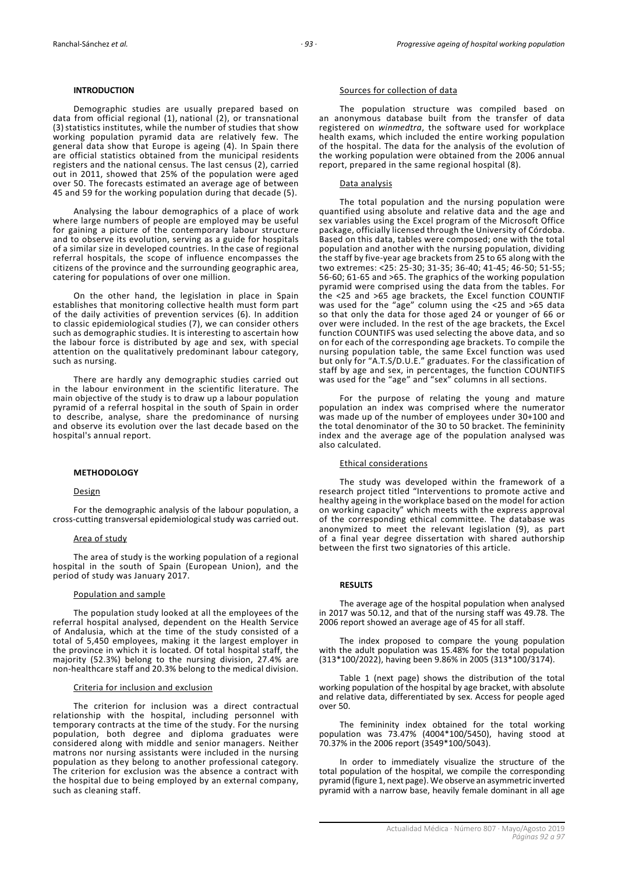# **INTRODUCTION**

Demographic studies are usually prepared based on data from official regional (1), national (2), or transnational (3) statistics institutes, while the number of studies that show working population pyramid data are relatively few. The general data show that Europe is ageing (4). In Spain there are official statistics obtained from the municipal residents registers and the national census. The last census (2), carried out in 2011, showed that 25% of the population were aged over 50. The forecasts estimated an average age of between 45 and 59 for the working population during that decade (5).

Analysing the labour demographics of a place of work where large numbers of people are employed may be useful for gaining a picture of the contemporary labour structure and to observe its evolution, serving as a guide for hospitals of a similar size in developed countries. In the case of regional referral hospitals, the scope of influence encompasses the citizens of the province and the surrounding geographic area, catering for populations of over one million.

On the other hand, the legislation in place in Spain establishes that monitoring collective health must form part of the daily activities of prevention services (6). In addition to classic epidemiological studies (7), we can consider others such as demographic studies. It is interesting to ascertain how the labour force is distributed by age and sex, with special attention on the qualitatively predominant labour category, such as nursing.

There are hardly any demographic studies carried out in the labour environment in the scientific literature. The main objective of the study is to draw up a labour population pyramid of a referral hospital in the south of Spain in order to describe, analyse, share the predominance of nursing and observe its evolution over the last decade based on the hospital's annual report.

#### **METHODOLOGY**

# Design

For the demographic analysis of the labour population, a cross-cutting transversal epidemiological study was carried out.

#### Area of study

The area of study is the working population of a regional hospital in the south of Spain (European Union), and the period of study was January 2017.

#### Population and sample

The population study looked at all the employees of the referral hospital analysed, dependent on the Health Service of Andalusia, which at the time of the study consisted of a total of 5,450 employees, making it the largest employer in the province in which it is located. Of total hospital staff, the majority (52.3%) belong to the nursing division, 27.4% are non-healthcare staff and 20.3% belong to the medical division.

#### Criteria for inclusion and exclusion

The criterion for inclusion was a direct contractual relationship with the hospital, including personnel with temporary contracts at the time of the study. For the nursing population, both degree and diploma graduates were considered along with middle and senior managers. Neither matrons nor nursing assistants were included in the nursing population as they belong to another professional category. The criterion for exclusion was the absence a contract with the hospital due to being employed by an external company, such as cleaning staff.

# Sources for collection of data

The population structure was compiled based on an anonymous database built from the transfer of data registered on *winmedtra*, the software used for workplace health exams, which included the entire working population of the hospital. The data for the analysis of the evolution of the working population were obtained from the 2006 annual report, prepared in the same regional hospital (8).

#### Data analysis

The total population and the nursing population were quantified using absolute and relative data and the age and sex variables using the Excel program of the Microsoft Office package, officially licensed through the University of Córdoba. Based on this data, tables were composed; one with the total population and another with the nursing population, dividing the staff by five-year age brackets from 25 to 65 along with the two extremes: <25: 25-30; 31-35; 36-40; 41-45; 46-50; 51-55; 56-60; 61-65 and >65. The graphics of the working population pyramid were comprised using the data from the tables. For the <25 and >65 age brackets, the Excel function COUNTIF was used for the "age" column using the <25 and >65 data so that only the data for those aged 24 or younger of 66 or over were included. In the rest of the age brackets, the Excel function COUNTIFS was used selecting the above data, and so on for each of the corresponding age brackets. To compile the nursing population table, the same Excel function was used but only for "A.T.S/D.U.E." graduates. For the classification of staff by age and sex, in percentages, the function COUNTIFS was used for the "age" and "sex" columns in all sections.

For the purpose of relating the young and mature population an index was comprised where the numerator was made up of the number of employees under 30+100 and the total denominator of the 30 to 50 bracket. The femininity index and the average age of the population analysed was also calculated.

#### Ethical considerations

The study was developed within the framework of a research project titled "Interventions to promote active and healthy ageing in the workplace based on the model for action on working capacity" which meets with the express approval of the corresponding ethical committee. The database was anonymized to meet the relevant legislation (9), as part of a final year degree dissertation with shared authorship between the first two signatories of this article.

# **RESULTS**

The average age of the hospital population when analysed in 2017 was 50.12, and that of the nursing staff was 49.78. The 2006 report showed an average age of 45 for all staff.

The index proposed to compare the young population with the adult population was 15.48% for the total population (313\*100/2022), having been 9.86% in 2005 (313\*100/3174).

Table 1 (next page) shows the distribution of the total working population of the hospital by age bracket, with absolute and relative data, differentiated by sex. Access for people aged over 50.

The femininity index obtained for the total working population was 73.47% (4004\*100/5450), having stood at 70.37% in the 2006 report (3549\*100/5043).

In order to immediately visualize the structure of the total population of the hospital, we compile the corresponding pyramid (figure 1, next page). We observe an asymmetric inverted pyramid with a narrow base, heavily female dominant in all age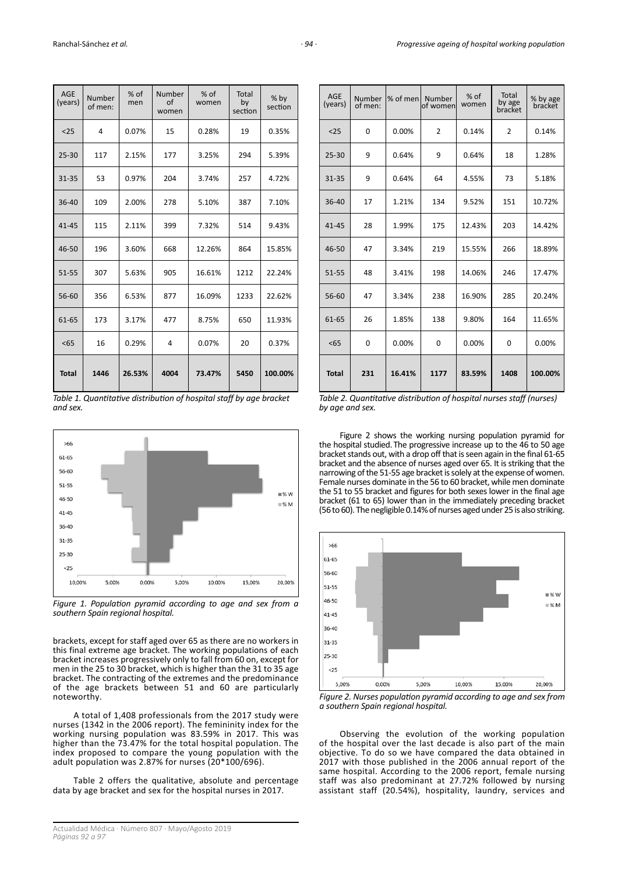| AGE<br>(years) | Number<br>of men: | % of<br>men | Number<br>$\Omega$<br>women | % of<br>women | <b>Total</b><br>by<br>section | $%$ by<br>section |
|----------------|-------------------|-------------|-----------------------------|---------------|-------------------------------|-------------------|
| $25$           | 4                 | 0.07%       | 15                          | 0.28%         | 19                            | 0.35%             |
| $25 - 30$      | 117               | 2.15%       | 177                         | 3.25%         | 294                           | 5.39%             |
| $31 - 35$      | 53                | 0.97%       | 204                         | 3.74%         | 257                           | 4.72%             |
| 36-40          | 109               | 2.00%       | 278                         | 5.10%         | 387                           | 7.10%             |
| $41 - 45$      | 115               | 2.11%       | 399                         | 7.32%         | 514                           | 9.43%             |
| 46-50          | 196               | 3.60%       | 668                         | 12.26%        | 864                           | 15.85%            |
| 51-55          | 307               | 5.63%       | 905                         | 16.61%        | 1212                          | 22.24%            |
| 56-60          | 356               | 6.53%       | 877                         | 16.09%        | 1233                          | 22.62%            |
| 61-65          | 173               | 3.17%       | 477                         | 8.75%         | 650                           | 11.93%            |
| < 65           | 16                | 0.29%       | 4                           | 0.07%         | 20                            | 0.37%             |
| <b>Total</b>   | 1446              | 26.53%      | 4004                        | 73.47%        | 5450                          | 100.00%           |

*Table 1. Quantitative distribution of hospital staff by age bracket and sex.*



*Figure 1. Population pyramid according to age and sex from a southern Spain regional hospital.*

brackets, except for staff aged over 65 as there are no workers in this final extreme age bracket. The working populations of each bracket increases progressively only to fall from 60 on, except for men in the 25 to 30 bracket, which is higher than the 31 to 35 age bracket. The contracting of the extremes and the predominance of the age brackets between 51 and 60 are particularly noteworthy.

A total of 1,408 professionals from the 2017 study were nurses (1342 in the 2006 report). The femininity index for the working nursing population was 83.59% in 2017. This was higher than the 73.47% for the total hospital population. The index proposed to compare the young population with the adult population was 2.87% for nurses (20\*100/696).

Table 2 offers the qualitative, absolute and percentage data by age bracket and sex for the hospital nurses in 2017.

| <b>AGE</b><br>(years) | Number<br>of men: | % of men | Number<br>of women | % of<br>women | Total<br>by age<br>bracket | % by age<br>bracket |
|-----------------------|-------------------|----------|--------------------|---------------|----------------------------|---------------------|
| $25$                  | 0                 | 0.00%    | $\overline{2}$     | 0.14%         | $\overline{2}$             | 0.14%               |
| $25 - 30$             | 9                 | 0.64%    | 9                  | 0.64%         | 18                         | 1.28%               |
| 31-35                 | 9                 | 0.64%    | 64                 | 4.55%         | 73                         | 5.18%               |
| $36 - 40$             | 17                | 1.21%    | 134                | 9.52%         | 151                        | 10.72%              |
| $41 - 45$             | 28                | 1.99%    | 175                | 12.43%        | 203                        | 14.42%              |
| 46-50                 | 47                | 3.34%    | 219                | 15.55%        | 266                        | 18.89%              |
| 51-55                 | 48                | 3.41%    | 198                | 14.06%        | 246                        | 17.47%              |
| 56-60                 | 47                | 3.34%    | 238                | 16.90%        | 285                        | 20.24%              |
| 61-65                 | 26                | 1.85%    | 138                | 9.80%         | 164                        | 11.65%              |
| 55                    | 0                 | 0.00%    | 0                  | 0.00%         | 0                          | 0.00%               |
| <b>Total</b>          | 231               | 16.41%   | 1177               | 83.59%        | 1408                       | 100.00%             |

*Table 2. Quantitative distribution of hospital nurses staff (nurses) by age and sex.*

Figure 2 shows the working nursing population pyramid for the hospital studied.The progressive increase up to the 46 to 50 age bracket stands out, with a drop off that is seen again in the final 61-65 bracket and the absence of nurses aged over 65. It is striking that the narrowing of the 51-55 age bracket is solely at the expense of women. Female nurses dominate in the 56 to 60 bracket, while men dominate the 51 to 55 bracket and figures for both sexes lower in the final age bracket (61 to 65) lower than in the immediately preceding bracket (56 to 60). The negligible 0.14% of nurses aged under 25 is also striking.



*Figure 2. Nurses population pyramid according to age and sex from a southern Spain regional hospital.*

Observing the evolution of the working population of the hospital over the last decade is also part of the main objective. To do so we have compared the data obtained in 2017 with those published in the 2006 annual report of the same hospital. According to the 2006 report, female nursing staff was also predominant at 27.72% followed by nursing assistant staff (20.54%), hospitality, laundry, services and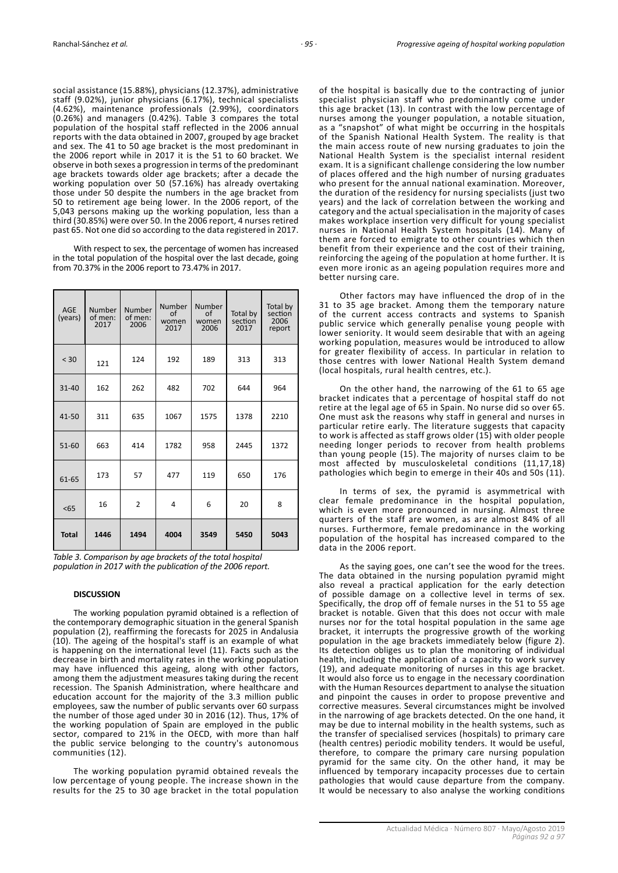social assistance (15.88%), physicians (12.37%), administrative staff (9.02%), junior physicians (6.17%), technical specialists (4.62%), maintenance professionals (2.99%), coordinators (0.26%) and managers (0.42%). Table 3 compares the total population of the hospital staff reflected in the 2006 annual reports with the data obtained in 2007, grouped by age bracket and sex. The 41 to 50 age bracket is the most predominant in the 2006 report while in 2017 it is the 51 to 60 bracket. We observe in both sexes a progression in terms of the predominant age brackets towards older age brackets; after a decade the working population over 50 (57.16%) has already overtaking those under 50 despite the numbers in the age bracket from 50 to retirement age being lower. In the 2006 report, of the 5,043 persons making up the working population, less than a third (30.85%) were over 50. In the 2006 report, 4 nurses retired past 65. Not one did so according to the data registered in 2017.

With respect to sex, the percentage of women has increased in the total population of the hospital over the last decade, going from 70.37% in the 2006 report to 73.47% in 2017.

| <b>AGE</b><br>(years) | <b>Number</b><br>of men:<br>2017 | Number<br>of men:<br>2006 | Number<br>of<br>women<br>2017 | Number<br>of<br>women<br>2006 | Total by<br>section<br>2017 | Total by<br>section<br>2006<br>report |
|-----------------------|----------------------------------|---------------------------|-------------------------------|-------------------------------|-----------------------------|---------------------------------------|
| < 30                  | 121                              | 124                       | 192                           | 189                           | 313                         | 313                                   |
| $31 - 40$             | 162                              | 262                       | 482                           | 702                           | 644                         | 964                                   |
| 41-50                 | 311                              | 635                       | 1067                          | 1575                          | 1378                        | 2210                                  |
| 51-60                 | 663                              | 414                       | 1782                          | 958                           | 2445                        | 1372                                  |
| 61-65                 | 173                              | 57                        | 477                           | 119                           | 650                         | 176                                   |
| < 65                  | 16                               | $\overline{2}$            | 4                             | 6                             | 20                          | 8                                     |
| <b>Total</b>          | 1446                             | 1494                      | 4004                          | 3549                          | 5450                        | 5043                                  |

*Table 3. Comparison by age brackets of the total hospital population in 2017 with the publication of the 2006 report.*

# **DISCUSSION**

The working population pyramid obtained is a reflection of the contemporary demographic situation in the general Spanish population (2), reaffirming the forecasts for 2025 in Andalusia (10). The ageing of the hospital's staff is an example of what is happening on the international level (11). Facts such as the decrease in birth and mortality rates in the working population may have influenced this ageing, along with other factors, among them the adjustment measures taking during the recent recession. The Spanish Administration, where healthcare and education account for the majority of the 3.3 million public employees, saw the number of public servants over 60 surpass the number of those aged under 30 in 2016 (12). Thus, 17% of the working population of Spain are employed in the public sector, compared to 21% in the OECD, with more than half the public service belonging to the country's autonomous communities (12).

The working population pyramid obtained reveals the low percentage of young people. The increase shown in the results for the 25 to 30 age bracket in the total population of the hospital is basically due to the contracting of junior specialist physician staff who predominantly come under this age bracket (13). In contrast with the low percentage of nurses among the younger population, a notable situation, as a "snapshot" of what might be occurring in the hospitals of the Spanish National Health System. The reality is that the main access route of new nursing graduates to join the National Health System is the specialist internal resident exam. It is a significant challenge considering the low number of places offered and the high number of nursing graduates who present for the annual national examination. Moreover, the duration of the residency for nursing specialists (just two years) and the lack of correlation between the working and category and the actual specialisation in the majority of cases makes workplace insertion very difficult for young specialist nurses in National Health System hospitals (14). Many of them are forced to emigrate to other countries which then benefit from their experience and the cost of their training, reinforcing the ageing of the population at home further. It is even more ironic as an ageing population requires more and better nursing care.

Other factors may have influenced the drop of in the 31 to 35 age bracket. Among them the temporary nature of the current access contracts and systems to Spanish public service which generally penalise young people with lower seniority. It would seem desirable that with an ageing working population, measures would be introduced to allow for greater flexibility of access. In particular in relation to those centres with lower National Health System demand (local hospitals, rural health centres, etc.).

On the other hand, the narrowing of the 61 to 65 age bracket indicates that a percentage of hospital staff do not retire at the legal age of 65 in Spain. No nurse did so over 65. One must ask the reasons why staff in general and nurses in particular retire early. The literature suggests that capacity to work is affected as staff grows older (15) with older people needing longer periods to recover from health problems than young people (15). The majority of nurses claim to be most affected by musculoskeletal conditions (11,17,18) pathologies which begin to emerge in their 40s and 50s (11).

In terms of sex, the pyramid is asymmetrical with clear female predominance in the hospital population, which is even more pronounced in nursing. Almost three quarters of the staff are women, as are almost 84% of all nurses. Furthermore, female predominance in the working population of the hospital has increased compared to the data in the 2006 report.

As the saying goes, one can't see the wood for the trees. The data obtained in the nursing population pyramid might also reveal a practical application for the early detection of possible damage on a collective level in terms of sex. Specifically, the drop off of female nurses in the 51 to 55 age bracket is notable. Given that this does not occur with male nurses nor for the total hospital population in the same age bracket, it interrupts the progressive growth of the working population in the age brackets immediately below (figure 2). Its detection obliges us to plan the monitoring of individual health, including the application of a capacity to work survey (19), and adequate monitoring of nurses in this age bracket. It would also force us to engage in the necessary coordination with the Human Resources department to analyse the situation and pinpoint the causes in order to propose preventive and corrective measures. Several circumstances might be involved in the narrowing of age brackets detected. On the one hand, it may be due to internal mobility in the health systems, such as the transfer of specialised services (hospitals) to primary care (health centres) periodic mobility tenders. It would be useful, therefore, to compare the primary care nursing population pyramid for the same city. On the other hand, it may be influenced by temporary incapacity processes due to certain pathologies that would cause departure from the company. It would be necessary to also analyse the working conditions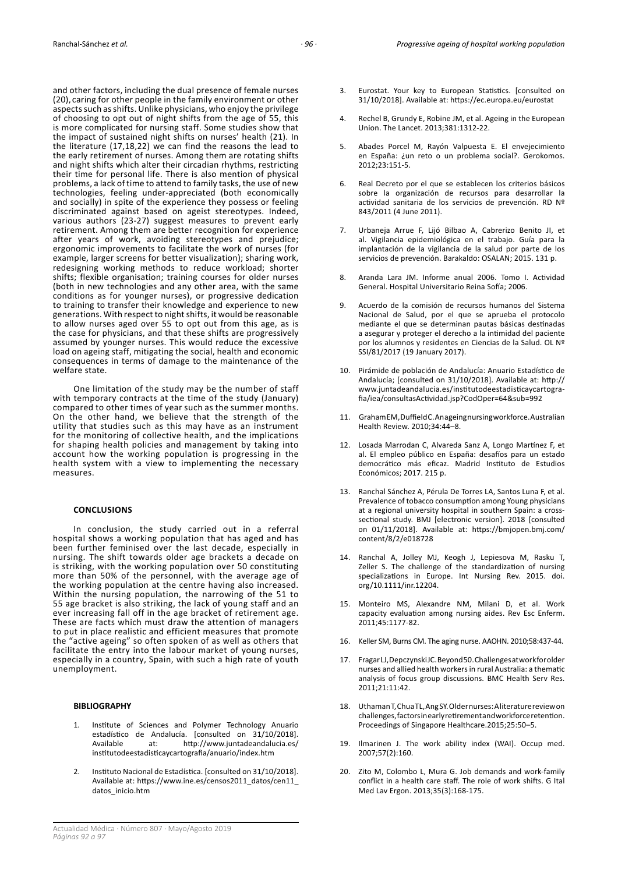and other factors, including the dual presence of female nurses (20), caring for other people in the family environment or other aspects such as shifts. Unlike physicians, who enjoy the privilege of choosing to opt out of night shifts from the age of 55, this is more complicated for nursing staff. Some studies show that the impact of sustained night shifts on nurses' health (21). In the literature (17,18,22) we can find the reasons the lead to the early retirement of nurses. Among them are rotating shifts and night shifts which alter their circadian rhythms, restricting their time for personal life. There is also mention of physical problems, a lack of time to attend to family tasks, the use of new technologies, feeling under-appreciated (both economically and socially) in spite of the experience they possess or feeling discriminated against based on ageist stereotypes. Indeed, various authors (23-27) suggest measures to prevent early retirement. Among them are better recognition for experience after years of work, avoiding stereotypes and prejudice; ergonomic improvements to facilitate the work of nurses (for example, larger screens for better visualization); sharing work, redesigning working methods to reduce workload; shorter shifts; flexible organisation; training courses for older nurses (both in new technologies and any other area, with the same conditions as for younger nurses), or progressive dedication to training to transfer their knowledge and experience to new generations. With respect to night shifts, it would be reasonable to allow nurses aged over 55 to opt out from this age, as is the case for physicians, and that these shifts are progressively assumed by younger nurses. This would reduce the excessive load on ageing staff, mitigating the social, health and economic consequences in terms of damage to the maintenance of the welfare state.

One limitation of the study may be the number of staff with temporary contracts at the time of the study (January) compared to other times of year such as the summer months. On the other hand, we believe that the strength of the utility that studies such as this may have as an instrument for the monitoring of collective health, and the implications for shaping health policies and management by taking into account how the working population is progressing in the health system with a view to implementing the necessary measures.

# **CONCLUSIONS**

In conclusion, the study carried out in a referral hospital shows a working population that has aged and has been further feminised over the last decade, especially in nursing. The shift towards older age brackets a decade on is striking, with the working population over 50 constituting more than 50% of the personnel, with the average age of the working population at the centre having also increased. Within the nursing population, the narrowing of the 51 to 55 age bracket is also striking, the lack of young staff and an ever increasing fall off in the age bracket of retirement age. These are facts which must draw the attention of managers to put in place realistic and efficient measures that promote the "active ageing" so often spoken of as well as others that facilitate the entry into the labour market of young nurses, especially in a country, Spain, with such a high rate of youth unemployment.

# **BIBLIOGRAPHY**

- 1. Institute of Sciences and Polymer Technology Anuario estadístico de Andalucía. [consulted on 31/10/2018]. Available at: [http://www.juntadeandalucia.es/](http://www.juntadeandalucia.es/institutodeestadisticaycartografia/anuario/index.htm) [institutodeestadisticaycartografia/anuario/index.htm](http://www.juntadeandalucia.es/institutodeestadisticaycartografia/anuario/index.htm)
- 2. Instituto Nacional de Estadística. [consulted on 31/10/2018]. Available at: [https://www.ine.es/censos2011\\_datos/cen11\\_](https://www.ine.es/censos2011_datos/cen11_datos_inicio.htm) [datos\\_inicio.htm](https://www.ine.es/censos2011_datos/cen11_datos_inicio.htm)
- 3. Eurostat. Your key to European Statistics. [consulted on 31/10/2018]. Available at: https://ec.europa.eu/eurostat
- 4. Rechel B, Grundy E, Robine JM, et al. Ageing in the European Union. The Lancet. 2013;381:1312-22.
- 5. Abades Porcel M, Rayón Valpuesta E. El envejecimiento en España: ¿un reto o un problema social?. Gerokomos. 2012;23:151-5.
- 6. Real Decreto por el que se establecen los criterios básicos sobre la organización de recursos para desarrollar la actividad sanitaria de los servicios de prevención. RD Nº 843/2011 (4 June 2011).
- 7. Urbaneja Arrue F, Lijó Bilbao A, Cabrerizo Benito JI, et al. Vigilancia epidemiológica en el trabajo. Guía para la implantación de la vigilancia de la salud por parte de los servicios de prevención. Barakaldo: OSALAN; 2015. 131 p.
- 8. Aranda Lara JM. Informe anual 2006. Tomo I. Actividad General. Hospital Universitario Reina Sofía; 2006.
- 9. Acuerdo de la comisión de recursos humanos del Sistema Nacional de Salud, por el que se aprueba el protocolo mediante el que se determinan pautas básicas destinadas a asegurar y proteger el derecho a la intimidad del paciente por los alumnos y residentes en Ciencias de la Salud. OL Nº SSI/81/2017 (19 January 2017).
- 10. Pirámide de población de Andalucía: Anuario Estadístico de Andalucía; [consulted on 31/10/2018]. Available at: [http://](http://www.juntadeandalucia.es/institutodeestadisticaycartografia/iea/consultasActividad.jsp?CodOper=64&sub=992) [www.juntadeandalucia.es/institutodeestadisticaycartogra](http://www.juntadeandalucia.es/institutodeestadisticaycartografia/iea/consultasActividad.jsp?CodOper=64&sub=992)[fia/iea/consultasActividad.jsp?CodOper=64&sub=992](http://www.juntadeandalucia.es/institutodeestadisticaycartografia/iea/consultasActividad.jsp?CodOper=64&sub=992)
- 11. Graham EM, Duffield C. An ageing nursing workforce. Australian Health Review. 2010;34:44–8.
- 12. Losada Marrodan C, Alvareda Sanz A, Longo Martínez F, et al. El empleo público en España: desafíos para un estado democrático más eficaz. Madrid Instituto de Estudios Económicos; 2017. 215 p.
- 13. Ranchal Sánchez A, Pérula De Torres LA, Santos Luna F, et al. Prevalence of tobacco consumption among Young physicians at a regional university hospital in southern Spain: a crosssectional study. BMJ [electronic version]. 2018 [consulted on 01/11/2018]. Available at: [https://bmjopen.bmj.com/](https://bmjopen.bmj.com/content/8/2/e018728) [content/8/2/e018728](https://bmjopen.bmj.com/content/8/2/e018728)
- 14. Ranchal A, Jolley MJ, Keogh J, Lepiesova M, Rasku T, Zeller S. The challenge of the standardization of nursing specializations in Europe. Int Nursing Rev. 2015. doi. org/10.1111/inr.12204.
- 15. Monteiro MS, Alexandre NM, Milani D, et al. Work capacity evaluation among nursing aides. Rev Esc Enferm. 2011;45:1177-82.
- 16. Keller SM, Burns CM. The aging nurse. AAOHN. 2010;58:437-44.
- 17. Fragar LJ, Depczynski JC. Beyond 50. Challenges at work for older nurses and allied health workers in rural Australia: a thematic analysis of focus group discussions. BMC Health Serv Res. 2011;21:11:42.
- 18. Uthaman T, Chua TL, Ang SY. Older nurses: A literature review on challenges, factors in early retirement and workforce retention. Proceedings of Singapore Healthcare.2015;25:50–5.
- 19. Ilmarinen J. The work ability index (WAI). Occup med. 2007;57(2):160.
- 20. Zito M, Colombo L, Mura G. Job demands and work-family conflict in a health care staff. The role of work shifts. G Ital Med Lav Ergon. 2013;35(3):168-175.